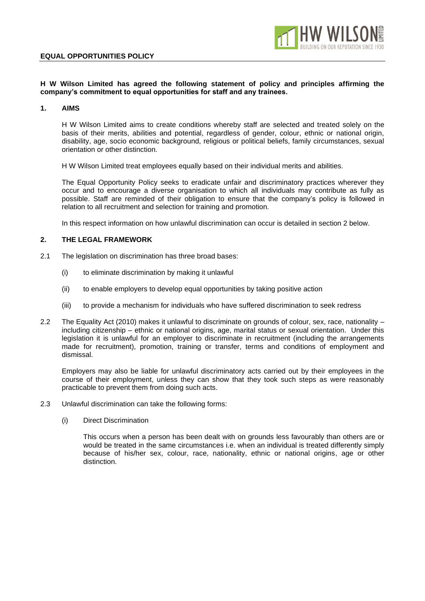### **EQUAL OPPORTUNITIES POLICY**



### **H W Wilson Limited has agreed the following statement of policy and principles affirming the company's commitment to equal opportunities for staff and any trainees.**

### **1. AIMS**

H W Wilson Limited aims to create conditions whereby staff are selected and treated solely on the basis of their merits, abilities and potential, regardless of gender, colour, ethnic or national origin, disability, age, socio economic background, religious or political beliefs, family circumstances, sexual orientation or other distinction.

H W Wilson Limited treat employees equally based on their individual merits and abilities.

The Equal Opportunity Policy seeks to eradicate unfair and discriminatory practices wherever they occur and to encourage a diverse organisation to which all individuals may contribute as fully as possible. Staff are reminded of their obligation to ensure that the company's policy is followed in relation to all recruitment and selection for training and promotion.

In this respect information on how unlawful discrimination can occur is detailed in section 2 below.

# **2. THE LEGAL FRAMEWORK**

- 2.1 The legislation on discrimination has three broad bases:
	- (i) to eliminate discrimination by making it unlawful
	- (ii) to enable employers to develop equal opportunities by taking positive action
	- (iii) to provide a mechanism for individuals who have suffered discrimination to seek redress
- 2.2 The Equality Act (2010) makes it unlawful to discriminate on grounds of colour, sex, race, nationality including citizenship – ethnic or national origins, age, marital status or sexual orientation. Under this legislation it is unlawful for an employer to discriminate in recruitment (including the arrangements made for recruitment), promotion, training or transfer, terms and conditions of employment and dismissal.

Employers may also be liable for unlawful discriminatory acts carried out by their employees in the course of their employment, unless they can show that they took such steps as were reasonably practicable to prevent them from doing such acts.

- 2.3 Unlawful discrimination can take the following forms:
	- (i) Direct Discrimination

This occurs when a person has been dealt with on grounds less favourably than others are or would be treated in the same circumstances i.e. when an individual is treated differently simply because of his/her sex, colour, race, nationality, ethnic or national origins, age or other distinction.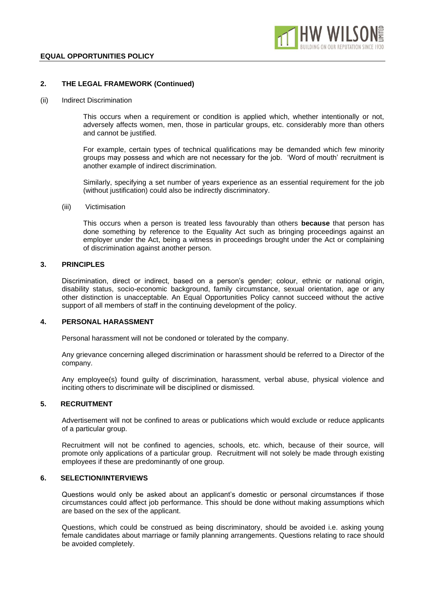

# **2. THE LEGAL FRAMEWORK (Continued)**

#### (ii) Indirect Discrimination

This occurs when a requirement or condition is applied which, whether intentionally or not, adversely affects women, men, those in particular groups, etc. considerably more than others and cannot be justified.

For example, certain types of technical qualifications may be demanded which few minority groups may possess and which are not necessary for the job. 'Word of mouth' recruitment is another example of indirect discrimination.

Similarly, specifying a set number of years experience as an essential requirement for the job (without justification) could also be indirectly discriminatory.

(iii) Victimisation

This occurs when a person is treated less favourably than others **because** that person has done something by reference to the Equality Act such as bringing proceedings against an employer under the Act, being a witness in proceedings brought under the Act or complaining of discrimination against another person.

## **3. PRINCIPLES**

Discrimination, direct or indirect, based on a person's gender; colour, ethnic or national origin, disability status, socio-economic background, family circumstance, sexual orientation, age or any other distinction is unacceptable. An Equal Opportunities Policy cannot succeed without the active support of all members of staff in the continuing development of the policy.

### **4. PERSONAL HARASSMENT**

Personal harassment will not be condoned or tolerated by the company.

Any grievance concerning alleged discrimination or harassment should be referred to a Director of the company.

Any employee(s) found guilty of discrimination, harassment, verbal abuse, physical violence and inciting others to discriminate will be disciplined or dismissed.

### **5. RECRUITMENT**

Advertisement will not be confined to areas or publications which would exclude or reduce applicants of a particular group.

Recruitment will not be confined to agencies, schools, etc. which, because of their source, will promote only applications of a particular group. Recruitment will not solely be made through existing employees if these are predominantly of one group.

### **6. SELECTION/INTERVIEWS**

Questions would only be asked about an applicant's domestic or personal circumstances if those circumstances could affect job performance. This should be done without making assumptions which are based on the sex of the applicant.

Questions, which could be construed as being discriminatory, should be avoided i.e. asking young female candidates about marriage or family planning arrangements. Questions relating to race should be avoided completely.